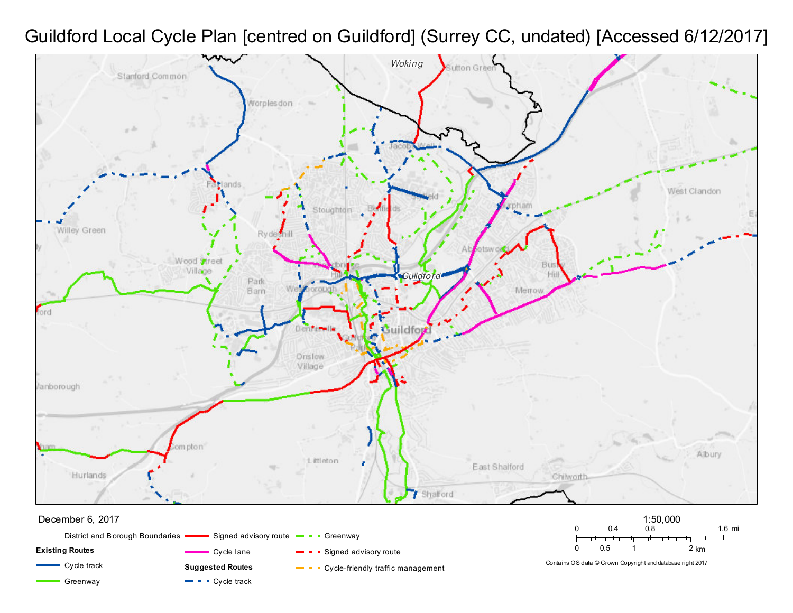## *Guildford Local Cycle Plan [centred on Guildford] (Surrey CC, undated) [Accessed 6/12/2017]*

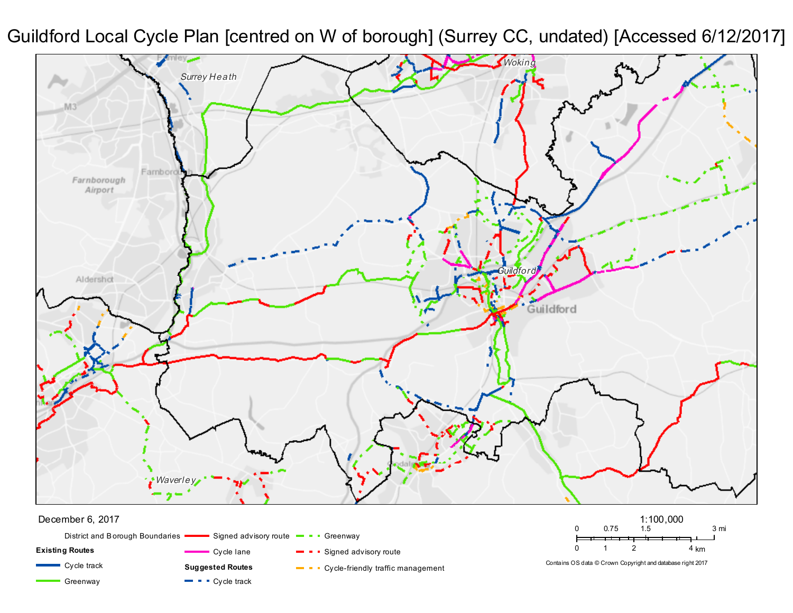*Guildford Local Cycle Plan [centred on W of borough] (Surrey CC, undated) [Accessed 6/12/2017]*



 $\blacksquare$   $\blacksquare$   $\blacksquare$  Cycle track

Greenway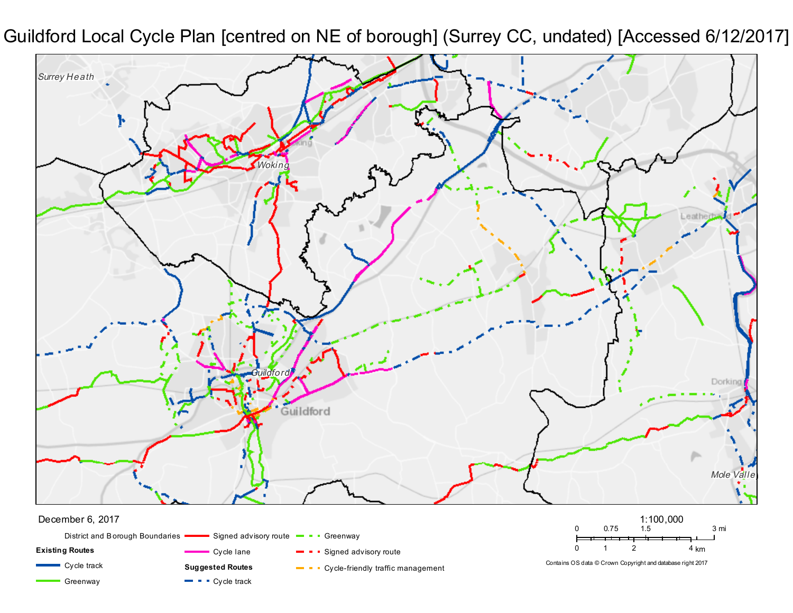*Guildford Local Cycle Plan [centred on NE of borough] (Surrey CC, undated) [Accessed 6/12/2017]*